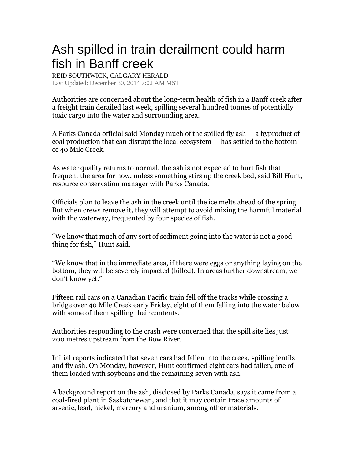## Ash spilled in train derailment could harm fish in Banff creek

REID SOUTHWICK, CALGARY HERALD

Last Updated: December 30, 2014 7:02 AM MST

Authorities are concerned about the long-term health of fish in a Banff creek after a freight train derailed last week, spilling several hundred tonnes of potentially toxic cargo into the water and surrounding area.

A Parks Canada official said Monday much of the spilled fly ash — a byproduct of coal production that can disrupt the local ecosystem — has settled to the bottom of 40 Mile Creek.

As water quality returns to normal, the ash is not expected to hurt fish that frequent the area for now, unless something stirs up the creek bed, said Bill Hunt, resource conservation manager with Parks Canada.

Officials plan to leave the ash in the creek until the ice melts ahead of the spring. But when crews remove it, they will attempt to avoid mixing the harmful material with the waterway, frequented by four species of fish.

"We know that much of any sort of sediment going into the water is not a good thing for fish," Hunt said.

"We know that in the immediate area, if there were eggs or anything laying on the bottom, they will be severely impacted (killed). In areas further downstream, we don't know yet."

Fifteen rail cars on a Canadian Pacific train fell off the tracks while crossing a bridge over 40 Mile Creek early Friday, eight of them falling into the water below with some of them spilling their contents.

Authorities responding to the crash were concerned that the spill site lies just 200 metres upstream from the Bow River.

Initial reports indicated that seven cars had fallen into the creek, spilling lentils and fly ash. On Monday, however, Hunt confirmed eight cars had fallen, one of them loaded with soybeans and the remaining seven with ash.

A background report on the ash, disclosed by Parks Canada, says it came from a coal-fired plant in Saskatchewan, and that it may contain trace amounts of arsenic, lead, nickel, mercury and uranium, among other materials.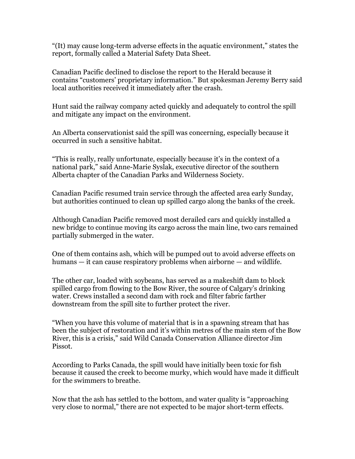"(It) may cause long-term adverse effects in the aquatic environment," states the report, formally called a Material Safety Data Sheet.

Canadian Pacific declined to disclose the report to the Herald because it contains "customers' proprietary information." But spokesman Jeremy Berry said local authorities received it immediately after the crash.

Hunt said the railway company acted quickly and adequately to control the spill and mitigate any impact on the environment.

An Alberta conservationist said the spill was concerning, especially because it occurred in such a sensitive habitat.

"This is really, really unfortunate, especially because it's in the context of a national park," said Anne-Marie Syslak, executive director of the southern Alberta chapter of the Canadian Parks and Wilderness Society.

Canadian Pacific resumed train service through the affected area early Sunday, but authorities continued to clean up spilled cargo along the banks of the creek.

Although Canadian Pacific removed most derailed cars and quickly installed a new bridge to continue moving its cargo across the main line, two cars remained partially submerged in the water.

One of them contains ash, which will be pumped out to avoid adverse effects on humans — it can cause respiratory problems when airborne — and wildlife.

The other car, loaded with soybeans, has served as a makeshift dam to block spilled cargo from flowing to the Bow River, the source of Calgary's drinking water. Crews installed a second dam with rock and filter fabric farther downstream from the spill site to further protect the river.

"When you have this volume of material that is in a spawning stream that has been the subject of restoration and it's within metres of the main stem of the Bow River, this is a crisis," said Wild Canada Conservation Alliance director Jim Pissot.

According to Parks Canada, the spill would have initially been toxic for fish because it caused the creek to become murky, which would have made it difficult for the swimmers to breathe.

Now that the ash has settled to the bottom, and water quality is "approaching very close to normal," there are not expected to be major short-term effects.